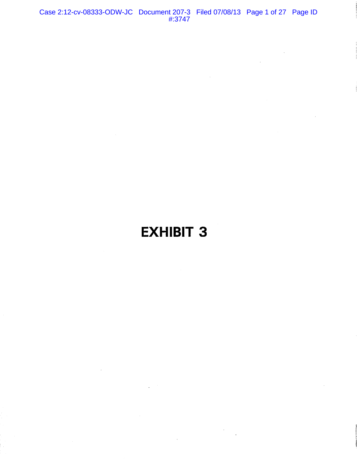Case 2:12-cv-08333-ODW-JC Document 207-3 Filed 07/08/13 Page 1 of 27 Page ID #:3747

# **EXHIBIT 3**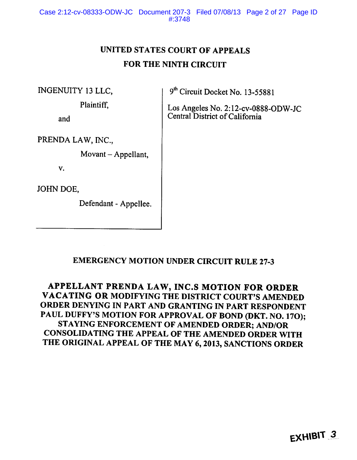## UNITED STATES COURT OF APPEALS FOR THE NINTH CIRCUIT

INGENUITY 13 LLC.

Plaintiff.

and

9th Circuit Docket No. 13-55881

Los Angeles No. 2:12-cv-0888-ODW-JC Central District of California

PRENDA LAW, INC.,

Movant - Appellant,

V.

JOHN DOE,

Defendant - Appellee.

## **EMERGENCY MOTION UNDER CIRCUIT RULE 27-3**

APPELLANT PRENDA LAW, INC.S MOTION FOR ORDER VACATING OR MODIFYING THE DISTRICT COURT'S AMENDED ORDER DENYING IN PART AND GRANTING IN PART RESPONDENT PAUL DUFFY'S MOTION FOR APPROVAL OF BOND (DKT. NO. 17O); STAYING ENFORCEMENT OF AMENDED ORDER; AND/OR CONSOLIDATING THE APPEAL OF THE AMENDED ORDER WITH THE ORIGINAL APPEAL OF THE MAY 6, 2013, SANCTIONS ORDER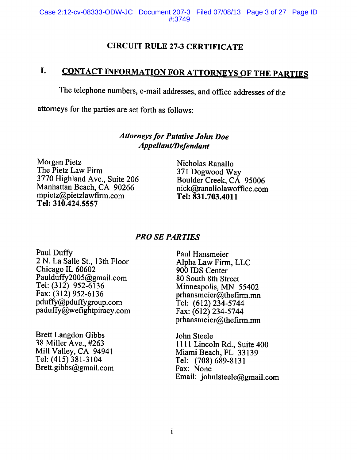## **CIRCUIT RULE 27-3 CERTIFICATE**

### **CONTACT INFORMATION FOR ATTORNEYS OF THE PARTIES** I.

The telephone numbers, e-mail addresses, and office addresses of the

attorneys for the parties are set forth as follows:

## **Attorneys for Putative John Doe Appellant/Defendant**

**Morgan Pietz** The Pietz Law Firm 3770 Highland Ave., Suite 206 Manhattan Beach, CA 90266 mpietz@pietzlawfirm.com Tel: 310.424.5557

Nicholas Ranallo 371 Dogwood Way Boulder Creek, CA 95006 nick@ranallolawoffice.com Tel: 831.703.4011

## **PRO SE PARTIES**

Paul Duffy 2 N. La Salle St., 13th Floor Chicago IL 60602 Paulduffy2005@gmail.com Tel:  $(312)$  952-6136 Fax: (312) 952-6136 pduffy@pduffygroup.com paduffy@wefightpiracy.com

**Brett Langdon Gibbs** 38 Miller Ave., #263 Mill Valley, CA 94941 Tel: (415) 381-3104 Brett.gibbs@gmail.com

Paul Hansmeier Alpha Law Firm, LLC 900 IDS Center 80 South 8th Street Minneapolis, MN 55402 prhansmeier@thefirm.mn Tel: (612) 234-5744 Fax: (612) 234-5744 prhansmeier@thefirm.mn

John Steele 1111 Lincoln Rd., Suite 400 Miami Beach, FL 33139 Tel: (708) 689-8131 Fax: None Email: johnlsteele@gmail.com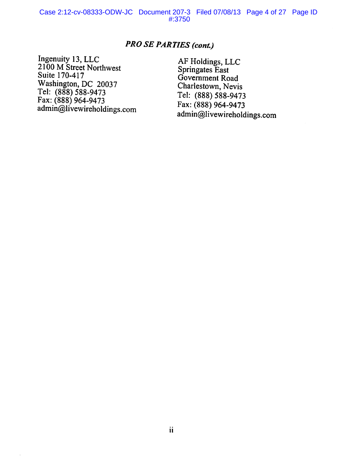## **PRO SE PARTIES (cont.)**

Ingenuity 13, LLC<br>2100 M Street Northwest Suite 170-417 Washington, DC 20037<br>Tel: (888) 588-9473<br>Fax: (888) 964-9473<br>admin@livewireholdings.com

 $\bar{z}$ 

AF Holdings, LLC<br>Springates East Government Road Charlestown, Nevis Tel: (888) 588-9473 Fax: (888) 964-9473 admin@livewireholdings.com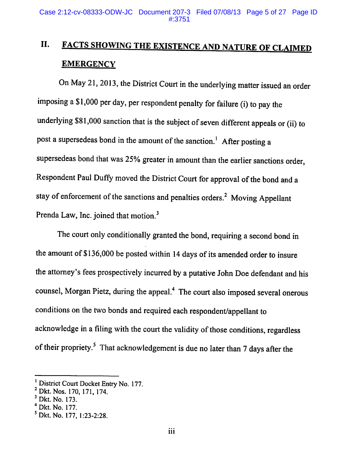## II. **FACTS SHOWING THE EXISTENCE AND NATURE OF CLAIMED EMERGENCY**

On May 21, 2013, the District Court in the underlying matter issued an order imposing a \$1,000 per day, per respondent penalty for failure (i) to pay the underlying \$81,000 sanction that is the subject of seven different appeals or (ii) to post a supersedeas bond in the amount of the sanction.<sup>1</sup> After posting a supersedeas bond that was 25% greater in amount than the earlier sanctions order, Respondent Paul Duffy moved the District Court for approval of the bond and a stay of enforcement of the sanctions and penalties orders.<sup>2</sup> Moving Appellant Prenda Law, Inc. joined that motion.<sup>3</sup>

The court only conditionally granted the bond, requiring a second bond in the amount of \$136,000 be posted within 14 days of its amended order to insure the attorney's fees prospectively incurred by a putative John Doe defendant and his counsel, Morgan Pietz, during the appeal.<sup>4</sup> The court also imposed several onerous conditions on the two bonds and required each respondent/appellant to acknowledge in a filing with the court the validity of those conditions, regardless of their propriety.<sup>5</sup> That acknowledgement is due no later than 7 days after the

District Court Docket Entry No. 177.

<sup>&</sup>lt;sup>2</sup> Dkt. Nos. 170, 171, 174.

 $3$  Dkt. No. 173.

<sup>&</sup>lt;sup>4</sup> Dkt. No. 177.

<sup>&</sup>lt;sup>5</sup> Dkt. No. 177, 1:23-2:28.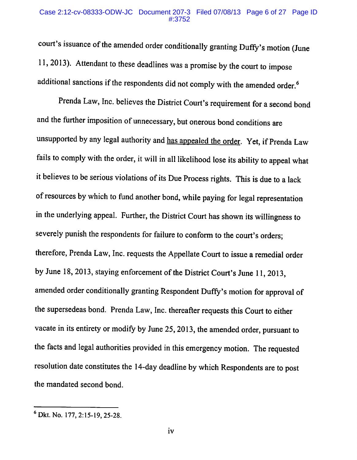# Case 2:12-cv-08333-ODW-JC Document 207-3 Filed 07/08/13 Page 6 of 27 Page ID

court's issuance of the amended order conditionally granting Duffy's motion (June 11, 2013). Attendant to these deadlines was a promise by the court to impose additional sanctions if the respondents did not comply with the amended order.<sup>6</sup>

Prenda Law, Inc. believes the District Court's requirement for a second bond and the further imposition of unnecessary, but onerous bond conditions are unsupported by any legal authority and has appealed the order. Yet, if Prenda Law fails to comply with the order, it will in all likelihood lose its ability to appeal what it believes to be serious violations of its Due Process rights. This is due to a lack of resources by which to fund another bond, while paying for legal representation in the underlying appeal. Further, the District Court has shown its willingness to severely punish the respondents for failure to conform to the court's orders; therefore, Prenda Law, Inc. requests the Appellate Court to issue a remedial order by June 18, 2013, staying enforcement of the District Court's June 11, 2013, amended order conditionally granting Respondent Duffy's motion for approval of the supersedeas bond. Prenda Law, Inc. thereafter requests this Court to either vacate in its entirety or modify by June 25, 2013, the amended order, pursuant to the facts and legal authorities provided in this emergency motion. The requested resolution date constitutes the 14-day deadline by which Respondents are to post the mandated second bond.

<sup>&</sup>lt;sup>6</sup> Dkt. No. 177, 2:15-19, 25-28.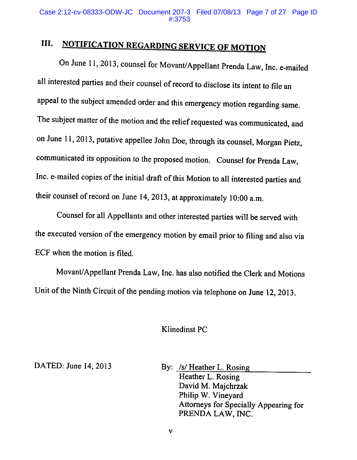### III. **NOTIFICATION REGARDING SERVICE OF MOTION**

On June 11, 2013, counsel for Movant/Appellant Prenda Law, Inc. e-mailed all interested parties and their counsel of record to disclose its intent to file an appeal to the subject amended order and this emergency motion regarding same. The subject matter of the motion and the relief requested was communicated, and on June 11, 2013, putative appellee John Doe, through its counsel, Morgan Pietz, communicated its opposition to the proposed motion. Counsel for Prenda Law, Inc. e-mailed copies of the initial draft of this Motion to all interested parties and their counsel of record on June 14, 2013, at approximately 10:00 a.m.

Counsel for all Appellants and other interested parties will be served with the executed version of the emergency motion by email prior to filing and also via ECF when the motion is filed.

Movant/Appellant Prenda Law, Inc. has also notified the Clerk and Motions Unit of the Ninth Circuit of the pending motion via telephone on June 12, 2013.

### **Klinedinst PC**

DATED: June 14, 2013

By: /s/ Heather L. Rosing Heather L. Rosing David M. Majchrzak Philip W. Vineyard Attorneys for Specially Appearing for PRENDA LAW, INC.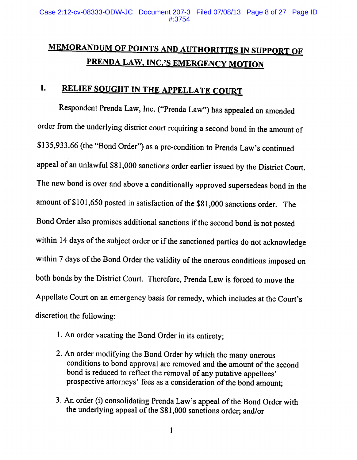## **MEMORANDUM OF POINTS AND AUTHORITIES IN SUPPORT OF** PRENDA LAW, INC.'S EMERGENCY MOTION

### RELIEF SOUGHT IN THE APPELLATE COURT I.

Respondent Prenda Law, Inc. ("Prenda Law") has appealed an amended order from the underlying district court requiring a second bond in the amount of \$135,933.66 (the "Bond Order") as a pre-condition to Prenda Law's continued appeal of an unlawful \$81,000 sanctions order earlier issued by the District Court. The new bond is over and above a conditionally approved supersedeas bond in the amount of \$101,650 posted in satisfaction of the \$81,000 sanctions order. The Bond Order also promises additional sanctions if the second bond is not posted within 14 days of the subject order or if the sanctioned parties do not acknowledge within 7 days of the Bond Order the validity of the onerous conditions imposed on both bonds by the District Court. Therefore, Prenda Law is forced to move the Appellate Court on an emergency basis for remedy, which includes at the Court's discretion the following:

- 1. An order vacating the Bond Order in its entirety;
- 2. An order modifying the Bond Order by which the many onerous conditions to bond approval are removed and the amount of the second bond is reduced to reflect the removal of any putative appellees' prospective attorneys' fees as a consideration of the bond amount;
- 3. An order (i) consolidating Prenda Law's appeal of the Bond Order with the underlying appeal of the \$81,000 sanctions order; and/or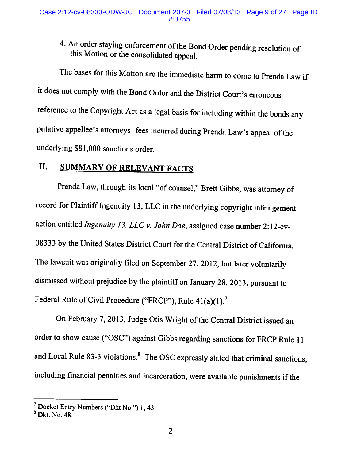## 4. An order staying enforcement of the Bond Order pending resolution of this Motion or the consolidated appeal.

The bases for this Motion are the immediate harm to come to Prenda Law if it does not comply with the Bond Order and the District Court's erroneous reference to the Copyright Act as a legal basis for including within the bonds any putative appellee's attorneys' fees incurred during Prenda Law's appeal of the underlying \$81,000 sanctions order.

#### II. **SUMMARY OF RELEVANT FACTS**

Prenda Law, through its local "of counsel," Brett Gibbs, was attorney of record for Plaintiff Ingenuity 13, LLC in the underlying copyright infringement action entitled Ingenuity 13, LLC v. John Doe, assigned case number 2:12-cv-08333 by the United States District Court for the Central District of California. The lawsuit was originally filed on September 27, 2012, but later voluntarily dismissed without prejudice by the plaintiff on January 28, 2013, pursuant to Federal Rule of Civil Procedure ("FRCP"), Rule 41(a)(1).<sup>7</sup>

On February 7, 2013, Judge Otis Wright of the Central District issued an order to show cause ("OSC") against Gibbs regarding sanctions for FRCP Rule 11 and Local Rule 83-3 violations.<sup>8</sup> The OSC expressly stated that criminal sanctions, including financial penalties and incarceration, were available punishments if the

<sup>&</sup>lt;sup>7</sup> Docket Entry Numbers ("Dkt No.") 1, 43.

 $8$  Dkt. No. 48.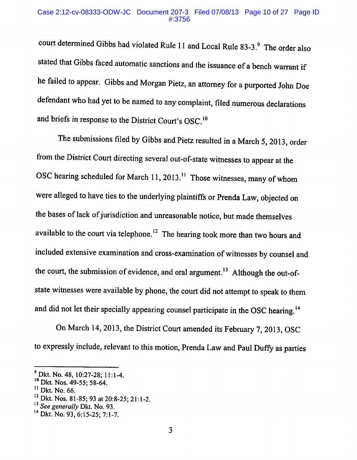court determined Gibbs had violated Rule 11 and Local Rule 83-3.9 The order also stated that Gibbs faced automatic sanctions and the issuance of a bench warrant if he failed to appear. Gibbs and Morgan Pietz, an attorney for a purported John Doe defendant who had yet to be named to any complaint, filed numerous declarations and briefs in response to the District Court's OSC.<sup>10</sup>

The submissions filed by Gibbs and Pietz resulted in a March 5, 2013, order from the District Court directing several out-of-state witnesses to appear at the OSC hearing scheduled for March 11, 2013.<sup>11</sup> Those witnesses, many of whom were alleged to have ties to the underlying plaintiffs or Prenda Law, objected on the bases of lack of jurisdiction and unreasonable notice, but made themselves available to the court via telephone.<sup>12</sup> The hearing took more than two hours and included extensive examination and cross-examination of witnesses by counsel and the court, the submission of evidence, and oral argument.<sup>13</sup> Although the out-ofstate witnesses were available by phone, the court did not attempt to speak to them and did not let their specially appearing counsel participate in the OSC hearing.<sup>14</sup>

On March 14, 2013, the District Court amended its February 7, 2013, OSC to expressly include, relevant to this motion, Prenda Law and Paul Duffy as parties

 $^{9}$  Dkt. No. 48, 10:27-28; 11:1-4.

<sup>&</sup>lt;sup>10</sup> Dkt. Nos. 49-55; 58-64.

<sup>&</sup>lt;sup>11</sup> Dkt. No. 66.

<sup>&</sup>lt;sup>12</sup> Dkt. Nos. 81-85; 93 at 20:8-25; 21:1-2.

 $^{13}$  See generally Dkt. No. 93.

<sup>&</sup>lt;sup>14</sup> Dkt. No. 93, 6:15-25; 7:1-7.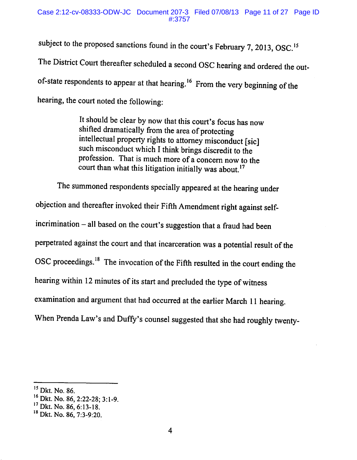subject to the proposed sanctions found in the court's February 7, 2013, OSC.<sup>15</sup> The District Court thereafter scheduled a second OSC hearing and ordered the outof-state respondents to appear at that hearing.<sup>16</sup> From the very beginning of the hearing, the court noted the following:

> It should be clear by now that this court's focus has now shifted dramatically from the area of protecting intellectual property rights to attorney misconduct [sic] such misconduct which I think brings discredit to the profession. That is much more of a concern now to the court than what this litigation initially was about.<sup>17</sup>

The summoned respondents specially appeared at the hearing under objection and thereafter invoked their Fifth Amendment right against selfincrimination – all based on the court's suggestion that a fraud had been perpetrated against the court and that incarceration was a potential result of the OSC proceedings.<sup>18</sup> The invocation of the Fifth resulted in the court ending the hearing within 12 minutes of its start and precluded the type of witness examination and argument that had occurred at the earlier March 11 hearing. When Prenda Law's and Duffy's counsel suggested that she had roughly twenty-

<sup>&</sup>lt;sup>15</sup> Dkt. No. 86.

<sup>&</sup>lt;sup>16</sup> Dkt. No. 86, 2:22-28; 3:1-9.

<sup>&</sup>lt;sup>17</sup> Dkt. No. 86, 6:13-18.

<sup>&</sup>lt;sup>18</sup> Dkt. No. 86, 7:3-9:20.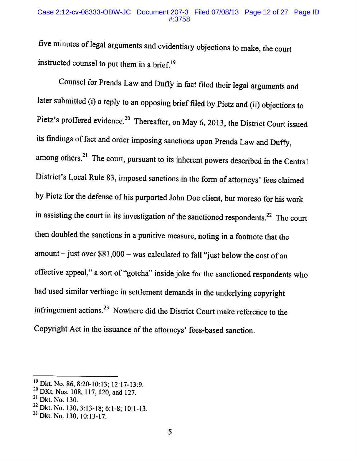### Case 2:12-cv-08333-ODW-JC Document 207-3 Filed 07/08/13 Page 12 of 27 Page ID #:3758

five minutes of legal arguments and evidentiary objections to make, the court instructed counsel to put them in a brief.<sup>19</sup>

Counsel for Prenda Law and Duffy in fact filed their legal arguments and later submitted (i) a reply to an opposing brief filed by Pietz and (ii) objections to Pietz's proffered evidence.<sup>20</sup> Thereafter, on May 6, 2013, the District Court issued its findings of fact and order imposing sanctions upon Prenda Law and Duffy, among others.<sup>21</sup> The court, pursuant to its inherent powers described in the Central District's Local Rule 83, imposed sanctions in the form of attorneys' fees claimed by Pietz for the defense of his purported John Doe client, but moreso for his work in assisting the court in its investigation of the sanctioned respondents.<sup>22</sup> The court then doubled the sanctions in a punitive measure, noting in a footnote that the  $amount - just over $81,000 - was calculated to fall "just below the cost of an"$ effective appeal," a sort of "gotcha" inside joke for the sanctioned respondents who had used similar verbiage in settlement demands in the underlying copyright infringement actions.<sup>23</sup> Nowhere did the District Court make reference to the Copyright Act in the issuance of the attorneys' fees-based sanction.

<sup>&</sup>lt;sup>19</sup> Dkt. No. 86, 8:20-10:13; 12:17-13:9.

<sup>&</sup>lt;sup>20</sup> DKt. Nos. 108, 117, 120, and 127.

<sup>&</sup>lt;sup>21</sup> Dkt. No. 130.

 $^{22}$  Dkt. No. 130, 3:13-18; 6:1-8; 10:1-13.

<sup>&</sup>lt;sup>23</sup> Dkt. No. 130, 10:13-17.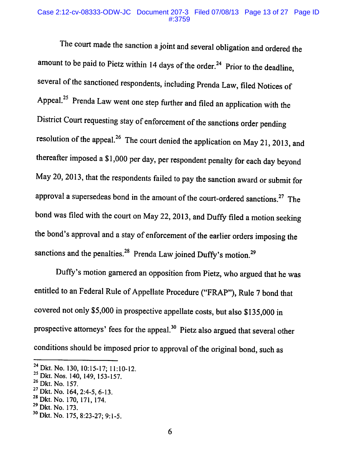### Case 2:12-cv-08333-ODW-JC Document 207-3 Filed 07/08/13 Page 13 of 27 Page ID #:3759

The court made the sanction a joint and several obligation and ordered the amount to be paid to Pietz within 14 days of the order.<sup>24</sup> Prior to the deadline, several of the sanctioned respondents, including Prenda Law, filed Notices of Appeal.<sup>25</sup> Prenda Law went one step further and filed an application with the District Court requesting stay of enforcement of the sanctions order pending resolution of the appeal.<sup>26</sup> The court denied the application on May 21, 2013, and thereafter imposed a \$1,000 per day, per respondent penalty for each day beyond May 20, 2013, that the respondents failed to pay the sanction award or submit for approval a supersedeas bond in the amount of the court-ordered sanctions.<sup>27</sup> The bond was filed with the court on May 22, 2013, and Duffy filed a motion seeking the bond's approval and a stay of enforcement of the earlier orders imposing the sanctions and the penalties.<sup>28</sup> Prenda Law joined Duffy's motion.<sup>29</sup>

Duffy's motion garnered an opposition from Pietz, who argued that he was entitled to an Federal Rule of Appellate Procedure ("FRAP"), Rule 7 bond that covered not only \$5,000 in prospective appellate costs, but also \$135,000 in prospective attorneys' fees for the appeal.<sup>30</sup> Pietz also argued that several other conditions should be imposed prior to approval of the original bond, such as

<sup>&</sup>lt;sup>24</sup> Dkt. No. 130, 10:15-17; 11:10-12.

<sup>&</sup>lt;sup>25</sup> Dkt. Nos. 140, 149, 153-157.

<sup>&</sup>lt;sup>26</sup> Dkt. No. 157.

<sup>&</sup>lt;sup>27</sup> Dkt. No. 164, 2:4-5, 6-13.

<sup>&</sup>lt;sup>28</sup> Dkt. No. 170, 171, 174.

<sup>&</sup>lt;sup>29</sup> Dkt. No. 173.

<sup>&</sup>lt;sup>30</sup> Dkt. No. 175, 8:23-27; 9:1-5.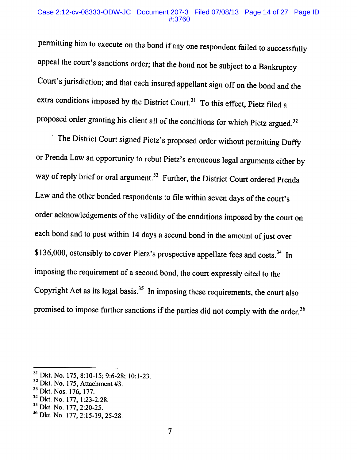### Case 2:12-cv-08333-ODW-JC Document 207-3 Filed 07/08/13 Page 14 of 27 Page ID  $\#3760$

permitting him to execute on the bond if any one respondent failed to successfully appeal the court's sanctions order; that the bond not be subject to a Bankruptcy Court's jurisdiction; and that each insured appellant sign off on the bond and the extra conditions imposed by the District Court.<sup>31</sup> To this effect, Pietz filed a proposed order granting his client all of the conditions for which Pietz argued.<sup>32</sup>

The District Court signed Pietz's proposed order without permitting Duffy or Prenda Law an opportunity to rebut Pietz's erroneous legal arguments either by way of reply brief or oral argument.<sup>33</sup> Further, the District Court ordered Prenda Law and the other bonded respondents to file within seven days of the court's order acknowledgements of the validity of the conditions imposed by the court on each bond and to post within 14 days a second bond in the amount of just over \$136,000, ostensibly to cover Pietz's prospective appellate fees and costs.<sup>34</sup> In imposing the requirement of a second bond, the court expressly cited to the Copyright Act as its legal basis.<sup>35</sup> In imposing these requirements, the court also promised to impose further sanctions if the parties did not comply with the order.<sup>36</sup>

<sup>35</sup> Dkt. No. 177, 2:20-25.

<sup>&</sup>lt;sup>31</sup> Dkt. No. 175, 8:10-15; 9:6-28; 10:1-23.

 $32$  Dkt. No. 175, Attachment #3.

<sup>&</sup>lt;sup>33</sup> Dkt. Nos. 176, 177.

<sup>&</sup>lt;sup>34</sup> Dkt. No. 177, 1:23-2:28.

<sup>&</sup>lt;sup>36</sup> Dkt. No. 177, 2:15-19, 25-28.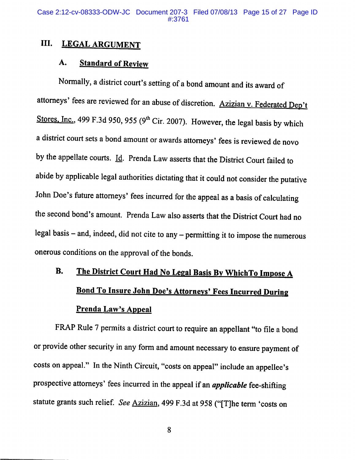Case 2:12-cv-08333-ODW-JC Document 207-3 Filed 07/08/13 Page 15 of 27 Page ID

#### III. **LEGAL ARGUMENT**

#### **Standard of Review** A.

Normally, a district court's setting of a bond amount and its award of attorneys' fees are reviewed for an abuse of discretion. Azizian v. Federated Dep't Stores, Inc., 499 F.3d 950, 955 (9<sup>th</sup> Cir. 2007). However, the legal basis by which a district court sets a bond amount or awards attorneys' fees is reviewed de novo by the appellate courts. Id. Prenda Law asserts that the District Court failed to abide by applicable legal authorities dictating that it could not consider the putative John Doe's future attorneys' fees incurred for the appeal as a basis of calculating the second bond's amount. Prenda Law also asserts that the District Court had no legal basis – and, indeed, did not cite to any – permitting it to impose the numerous onerous conditions on the approval of the bonds.

## **B.** The District Court Had No Legal Basis By WhichTo Impose A Bond To Insure John Doe's Attorneys' Fees Incurred During **Prenda Law's Appeal**

FRAP Rule 7 permits a district court to require an appellant "to file a bond or provide other security in any form and amount necessary to ensure payment of costs on appeal." In the Ninth Circuit, "costs on appeal" include an appellee's prospective attorneys' fees incurred in the appeal if an *applicable* fee-shifting statute grants such relief. See Azizian, 499 F.3d at 958 ("[T]he term 'costs on

8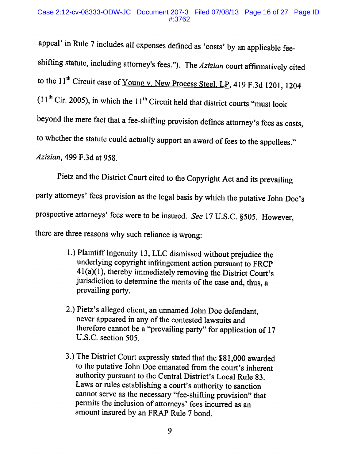### Case 2:12-cv-08333-ODW-JC Document 207-3 Filed 07/08/13 Page 16 of 27 Page ID  $\#3762$

appeal' in Rule 7 includes all expenses defined as 'costs' by an applicable feeshifting statute, including attorney's fees."). The Azizian court affirmatively cited to the 11<sup>th</sup> Circuit case of Young v. New Process Steel, LP, 419 F.3d 1201, 1204  $(11<sup>th</sup>$  Cir. 2005), in which the 11<sup>th</sup> Circuit held that district courts "must look beyond the mere fact that a fee-shifting provision defines attorney's fees as costs, to whether the statute could actually support an award of fees to the appellees." *Azizian*, 499 F.3d at 958.

Pietz and the District Court cited to the Copyright Act and its prevailing party attorneys' fees provision as the legal basis by which the putative John Doe's prospective attorneys' fees were to be insured. See 17 U.S.C. §505. However, there are three reasons why such reliance is wrong:

- 1.) Plaintiff Ingenuity 13, LLC dismissed without prejudice the underlying copyright infringement action pursuant to FRCP  $41(a)(1)$ , thereby immediately removing the District Court's jurisdiction to determine the merits of the case and, thus, a prevailing party.
- 2.) Pietz's alleged client, an unnamed John Doe defendant, never appeared in any of the contested lawsuits and therefore cannot be a "prevailing party" for application of 17 U.S.C. section 505.
- 3.) The District Court expressly stated that the \$81,000 awarded to the putative John Doe emanated from the court's inherent authority pursuant to the Central District's Local Rule 83. Laws or rules establishing a court's authority to sanction cannot serve as the necessary "fee-shifting provision" that permits the inclusion of attorneys' fees incurred as an amount insured by an FRAP Rule 7 bond.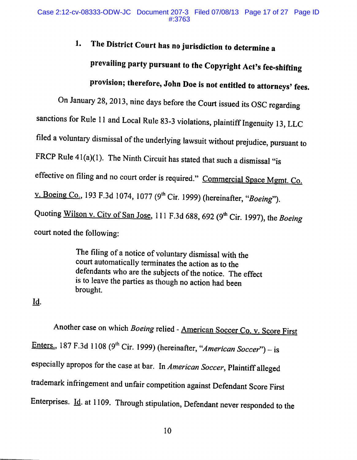## The District Court has no jurisdiction to determine a 1. prevailing party pursuant to the Copyright Act's fee-shifting provision; therefore, John Doe is not entitled to attorneys' fees.

On January 28, 2013, nine days before the Court issued its OSC regarding sanctions for Rule 11 and Local Rule 83-3 violations, plaintiff Ingenuity 13, LLC filed a voluntary dismissal of the underlying lawsuit without prejudice, pursuant to FRCP Rule  $41(a)(1)$ . The Ninth Circuit has stated that such a dismissal "is effective on filing and no court order is required." Commercial Space Mgmt. Co. v. Boeing Co., 193 F.3d 1074, 1077 (9<sup>th</sup> Cir. 1999) (hereinafter, "Boeing"). Quoting Wilson v. City of San Jose, 111 F.3d 688, 692 (9<sup>th</sup> Cir. 1997), the Boeing court noted the following:

> The filing of a notice of voluntary dismissal with the court automatically terminates the action as to the defendants who are the subjects of the notice. The effect is to leave the parties as though no action had been brought.

Id.

Another case on which Boeing relied - American Soccer Co. v. Score First Enters., 187 F.3d 1108 (9<sup>th</sup> Cir. 1999) (hereinafter, "American Soccer") – is especially apropos for the case at bar. In American Soccer, Plaintiff alleged trademark infringement and unfair competition against Defendant Score First Enterprises. Id. at 1109. Through stipulation, Defendant never responded to the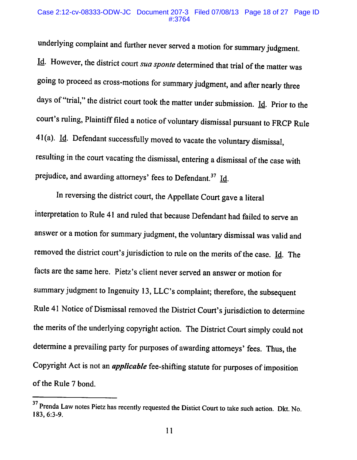### Case 2:12-cv-08333-ODW-JC Document 207-3 Filed 07/08/13 Page 18 of 27 Page ID #:3764

underlying complaint and further never served a motion for summary judgment. Id. However, the district court sua sponte determined that trial of the matter was going to proceed as cross-motions for summary judgment, and after nearly three days of "trial," the district court took the matter under submission.  $\underline{Id}$ . Prior to the court's ruling, Plaintiff filed a notice of voluntary dismissal pursuant to FRCP Rule 41(a). Id. Defendant successfully moved to vacate the voluntary dismissal, resulting in the court vacating the dismissal, entering a dismissal of the case with prejudice, and awarding attorneys' fees to Defendant.<sup>37</sup> Id.

In reversing the district court, the Appellate Court gave a literal interpretation to Rule 41 and ruled that because Defendant had failed to serve an answer or a motion for summary judgment, the voluntary dismissal was valid and removed the district court's jurisdiction to rule on the merits of the case.  $\underline{Id}$ . The facts are the same here. Pietz's client never served an answer or motion for summary judgment to Ingenuity 13, LLC's complaint; therefore, the subsequent Rule 41 Notice of Dismissal removed the District Court's jurisdiction to determine the merits of the underlying copyright action. The District Court simply could not determine a prevailing party for purposes of awarding attorneys' fees. Thus, the Copyright Act is not an *applicable* fee-shifting statute for purposes of imposition of the Rule 7 bond.

<sup>&</sup>lt;sup>37</sup> Prenda Law notes Pietz has recently requested the Distict Court to take such action. Dkt. No. 183, 6:3-9.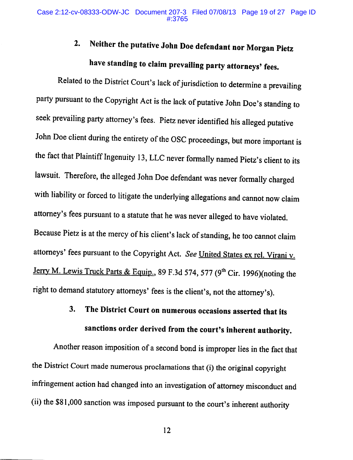## Neither the putative John Doe defendant nor Morgan Pietz  $2.$ have standing to claim prevailing party attorneys' fees.

Related to the District Court's lack of jurisdiction to determine a prevailing party pursuant to the Copyright Act is the lack of putative John Doe's standing to seek prevailing party attorney's fees. Pietz never identified his alleged putative John Doe client during the entirety of the OSC proceedings, but more important is the fact that Plaintiff Ingenuity 13, LLC never formally named Pietz's client to its lawsuit. Therefore, the alleged John Doe defendant was never formally charged with liability or forced to litigate the underlying allegations and cannot now claim attorney's fees pursuant to a statute that he was never alleged to have violated. Because Pietz is at the mercy of his client's lack of standing, he too cannot claim attorneys' fees pursuant to the Copyright Act. See United States ex rel. Virani v. Jerry M. Lewis Truck Parts & Equip., 89 F.3d 574, 577 (9<sup>th</sup> Cir. 1996)(noting the right to demand statutory attorneys' fees is the client's, not the attorney's).

## 3. The District Court on numerous occasions asserted that its sanctions order derived from the court's inherent authority.

Another reason imposition of a second bond is improper lies in the fact that the District Court made numerous proclamations that (i) the original copyright infringement action had changed into an investigation of attorney misconduct and (ii) the \$81,000 sanction was imposed pursuant to the court's inherent authority

12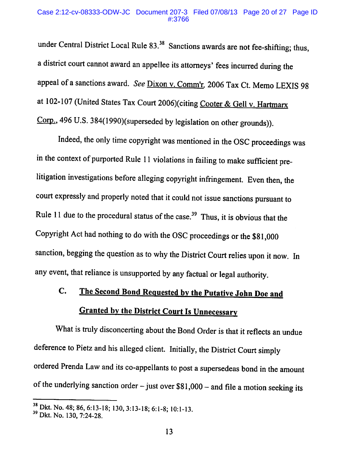# Case 2:12-cv-08333-ODW-JC Document 207-3 Filed 07/08/13 Page 20 of 27 Page ID

under Central District Local Rule 83.<sup>38</sup> Sanctions awards are not fee-shifting; thus, a district court cannot award an appellee its attorneys' fees incurred during the appeal of a sanctions award. See Dixon v. Comm'r, 2006 Tax Ct. Memo LEXIS 98 at 102-107 (United States Tax Court 2006)(citing Cooter & Gell v. Hartmarx Corp., 496 U.S. 384(1990)(superseded by legislation on other grounds)).

Indeed, the only time copyright was mentioned in the OSC proceedings was in the context of purported Rule 11 violations in failing to make sufficient prelitigation investigations before alleging copyright infringement. Even then, the court expressly and properly noted that it could not issue sanctions pursuant to Rule 11 due to the procedural status of the case.<sup>39</sup> Thus, it is obvious that the Copyright Act had nothing to do with the OSC proceedings or the \$81,000 sanction, begging the question as to why the District Court relies upon it now. In any event, that reliance is unsupported by any factual or legal authority.

## The Second Bond Requested by the Putative John Doe and  $C_{\bullet}$ **Granted by the District Court Is Unnecessary**

What is truly disconcerting about the Bond Order is that it reflects an undue deference to Pietz and his alleged client. Initially, the District Court simply ordered Prenda Law and its co-appellants to post a supersedeas bond in the amount of the underlying sanction order  $-$  just over \$81,000 – and file a motion seeking its

 $\frac{38}{10}$  Dkt. No. 48; 86, 6:13-18; 130, 3:13-18; 6:1-8; 10:1-13.

<sup>&</sup>lt;sup>39</sup> Dkt. No. 130, 7:24-28.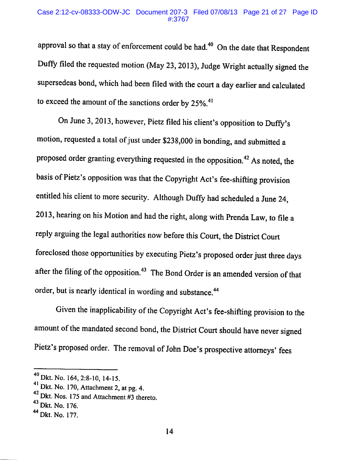### Case 2:12-cv-08333-ODW-JC Document 207-3 Filed 07/08/13 Page 21 of 27 Page ID #:3767

approval so that a stay of enforcement could be had.<sup>40</sup> On the date that Respondent Duffy filed the requested motion (May 23, 2013), Judge Wright actually signed the supersedeas bond, which had been filed with the court a day earlier and calculated to exceed the amount of the sanctions order by  $25\%$ .<sup>41</sup>

On June 3, 2013, however, Pietz filed his client's opposition to Duffy's motion, requested a total of just under \$238,000 in bonding, and submitted a proposed order granting everything requested in the opposition.<sup>42</sup> As noted, the basis of Pietz's opposition was that the Copyright Act's fee-shifting provision entitled his client to more security. Although Duffy had scheduled a June 24, 2013, hearing on his Motion and had the right, along with Prenda Law, to file a reply arguing the legal authorities now before this Court, the District Court foreclosed those opportunities by executing Pietz's proposed order just three days after the filing of the opposition.<sup>43</sup> The Bond Order is an amended version of that order, but is nearly identical in wording and substance.<sup>44</sup>

Given the inapplicability of the Copyright Act's fee-shifting provision to the amount of the mandated second bond, the District Court should have never signed Pietz's proposed order. The removal of John Doe's prospective attorneys' fees

<sup>&</sup>lt;sup>40</sup> Dkt. No. 164, 2:8-10, 14-15.

 $41$  Dkt. No. 170, Attachment 2, at pg. 4.

<sup>&</sup>lt;sup>42</sup> Dkt. Nos. 175 and Attachment #3 thereto.

<sup>&</sup>lt;sup>43</sup> Dkt. No. 176.

<sup>&</sup>lt;sup>44</sup> Dkt. No. 177.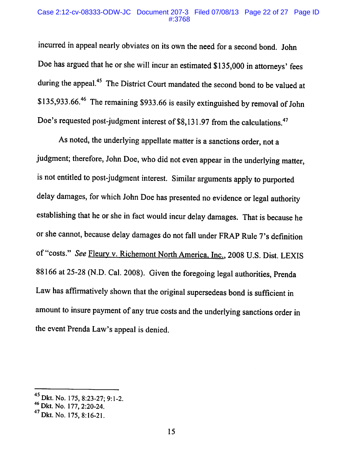# Case 2:12-cv-08333-ODW-JC Document 207-3 Filed 07/08/13 Page 22 of 27 Page ID

incurred in appeal nearly obviates on its own the need for a second bond. John Doe has argued that he or she will incur an estimated \$135,000 in attorneys' fees during the appeal.<sup>45</sup> The District Court mandated the second bond to be valued at \$135,933.66.<sup>46</sup> The remaining \$933.66 is easily extinguished by removal of John Doe's requested post-judgment interest of \$8,131.97 from the calculations.<sup>47</sup>

As noted, the underlying appellate matter is a sanctions order, not a judgment; therefore, John Doe, who did not even appear in the underlying matter, is not entitled to post-judgment interest. Similar arguments apply to purported delay damages, for which John Doe has presented no evidence or legal authority establishing that he or she in fact would incur delay damages. That is because he or she cannot, because delay damages do not fall under FRAP Rule 7's definition of "costs." See Fleury v. Richemont North America, Inc., 2008 U.S. Dist. LEXIS 88166 at 25-28 (N.D. Cal. 2008). Given the foregoing legal authorities, Prenda Law has affirmatively shown that the original supersedeas bond is sufficient in amount to insure payment of any true costs and the underlying sanctions order in the event Prenda Law's appeal is denied.

<sup>&</sup>lt;sup>45</sup> Dkt. No. 175, 8:23-27; 9:1-2.

<sup>&</sup>lt;sup>46</sup> Dkt. No. 177, 2:20-24.

<sup>&</sup>lt;sup>47</sup> Dkt. No. 175, 8:16-21.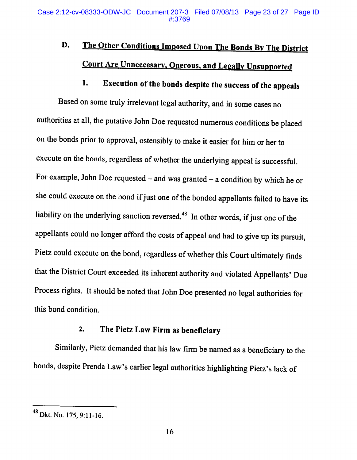## D. The Other Conditions Imposed Upon The Bonds By The District **Court Are Unneccesary, Onerous, and Legally Unsupported**

### Execution of the bonds despite the success of the appeals 1.

Based on some truly irrelevant legal authority, and in some cases no authorities at all, the putative John Doe requested numerous conditions be placed on the bonds prior to approval, ostensibly to make it easier for him or her to execute on the bonds, regardless of whether the underlying appeal is successful. For example, John Doe requested  $-$  and was granted  $-$  a condition by which he or she could execute on the bond if just one of the bonded appellants failed to have its liability on the underlying sanction reversed.<sup>48</sup> In other words, if just one of the appellants could no longer afford the costs of appeal and had to give up its pursuit, Pietz could execute on the bond, regardless of whether this Court ultimately finds that the District Court exceeded its inherent authority and violated Appellants' Due Process rights. It should be noted that John Doe presented no legal authorities for this bond condition.

#### The Pietz Law Firm as beneficiary  $2.$

Similarly, Pietz demanded that his law firm be named as a beneficiary to the bonds, despite Prenda Law's earlier legal authorities highlighting Pietz's lack of

<sup>&</sup>lt;sup>48</sup> Dkt. No. 175, 9:11-16.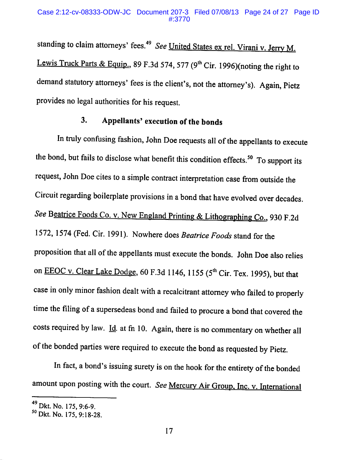standing to claim attorneys' fees.<sup>49</sup> See United States ex rel. Virani v. Jerry M. Lewis Truck Parts & Equip., 89 F.3d 574, 577 ( $9<sup>th</sup>$  Cir. 1996)(noting the right to demand statutory attorneys' fees is the client's, not the attorney's). Again, Pietz provides no legal authorities for his request.

#### Appellants' execution of the bonds 3.

In truly confusing fashion, John Doe requests all of the appellants to execute the bond, but fails to disclose what benefit this condition effects.<sup>50</sup> To support its request, John Doe cites to a simple contract interpretation case from outside the Circuit regarding boilerplate provisions in a bond that have evolved over decades. See Beatrice Foods Co. v. New England Printing & Lithographing Co., 930 F.2d 1572, 1574 (Fed. Cir. 1991). Nowhere does Beatrice Foods stand for the proposition that all of the appellants must execute the bonds. John Doe also relies on EEOC v. Clear Lake Dodge, 60 F.3d 1146, 1155 (5<sup>th</sup> Cir. Tex. 1995), but that case in only minor fashion dealt with a recalcitrant attorney who failed to properly time the filing of a supersedeas bond and failed to procure a bond that covered the costs required by law. Id. at fn 10. Again, there is no commentary on whether all of the bonded parties were required to execute the bond as requested by Pietz.

In fact, a bond's issuing surety is on the hook for the entirety of the bonded amount upon posting with the court. See Mercury Air Group, Inc. v. International

<sup>&</sup>lt;sup>49</sup> Dkt. No. 175, 9:6-9.

<sup>&</sup>lt;sup>50</sup> Dkt. No. 175, 9:18-28.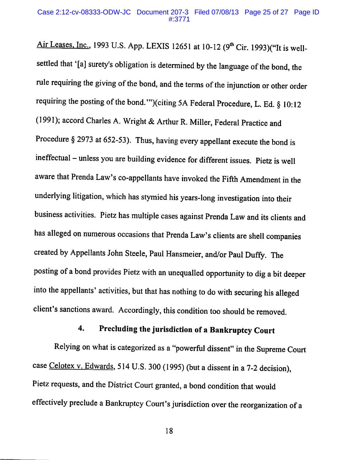Air Leases, Inc., 1993 U.S. App. LEXIS 12651 at 10-12 (9<sup>th</sup> Cir. 1993)("It is wellsettled that '[a] surety's obligation is determined by the language of the bond, the rule requiring the giving of the bond, and the terms of the injunction or other order requiring the posting of the bond."")(citing 5A Federal Procedure, L. Ed. § 10:12 (1991); accord Charles A. Wright & Arthur R. Miller, Federal Practice and Procedure  $\S$  2973 at 652-53). Thus, having every appellant execute the bond is ineffectual - unless you are building evidence for different issues. Pietz is well aware that Prenda Law's co-appellants have invoked the Fifth Amendment in the underlying litigation, which has stymied his years-long investigation into their business activities. Pietz has multiple cases against Prenda Law and its clients and has alleged on numerous occasions that Prenda Law's clients are shell companies created by Appellants John Steele, Paul Hansmeier, and/or Paul Duffy. The posting of a bond provides Pietz with an unequalled opportunity to dig a bit deeper into the appellants' activities, but that has nothing to do with securing his alleged client's sanctions award. Accordingly, this condition too should be removed.

#### Precluding the jurisdiction of a Bankruptcy Court  $\boldsymbol{4}$ .

Relying on what is categorized as a "powerful dissent" in the Supreme Court case Celotex v. Edwards, 514 U.S. 300 (1995) (but a dissent in a 7-2 decision), Pietz requests, and the District Court granted, a bond condition that would effectively preclude a Bankruptcy Court's jurisdiction over the reorganization of a

18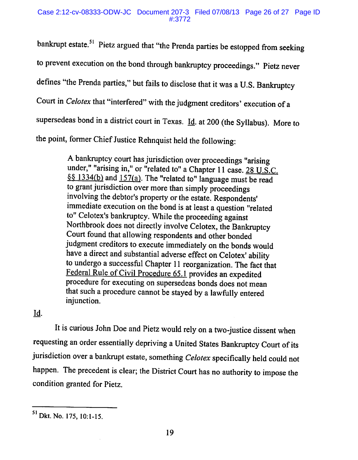bankrupt estate.<sup>51</sup> Pietz argued that "the Prenda parties be estopped from seeking to prevent execution on the bond through bankruptcy proceedings." Pietz never defines "the Prenda parties," but fails to disclose that it was a U.S. Bankruptcy Court in *Celotex* that "interfered" with the judgment creditors' execution of a supersedeas bond in a district court in Texas. Id. at 200 (the Syllabus). More to the point, former Chief Justice Rehnquist held the following:

> A bankruptcy court has jurisdiction over proceedings "arising under," "arising in," or "related to" a Chapter 11 case. 28 U.S.C. §§ 1334(b) and 157(a). The "related to" language must be read to grant jurisdiction over more than simply proceedings involving the debtor's property or the estate. Respondents' immediate execution on the bond is at least a question "related to" Celotex's bankruptcy. While the proceeding against Northbrook does not directly involve Celotex, the Bankruptcy Court found that allowing respondents and other bonded judgment creditors to execute immediately on the bonds would have a direct and substantial adverse effect on Celotex' ability to undergo a successful Chapter 11 reorganization. The fact that Federal Rule of Civil Procedure 65.1 provides an expedited procedure for executing on supersedeas bonds does not mean that such a procedure cannot be stayed by a lawfully entered injunction.

## Id.

It is curious John Doe and Pietz would rely on a two-justice dissent when requesting an order essentially depriving a United States Bankruptcy Court of its jurisdiction over a bankrupt estate, something Celotex specifically held could not happen. The precedent is clear; the District Court has no authority to impose the condition granted for Pietz.

<sup>&</sup>lt;sup>51</sup> Dkt. No. 175, 10:1-15.